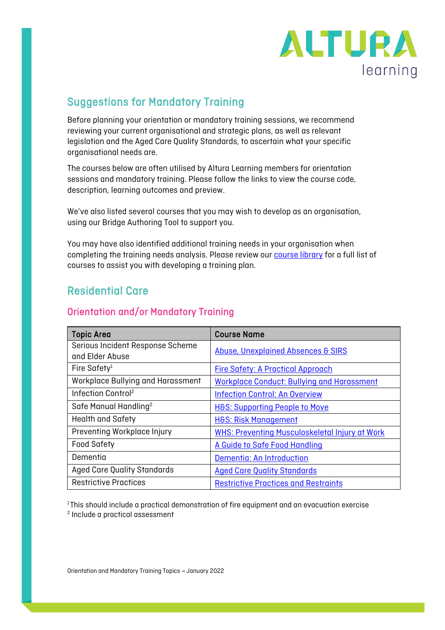

## Suggestions for Mandatory Training

Before planning your orientation or mandatory training sessions, we recommend reviewing your current organisational and strategic plans, as well as relevant legislation and the Aged Care Quality Standards, to ascertain what your specific organisational needs are.

The courses below are often utilised by Altura Learning members for orientation sessions and mandatory training. Please follow the links to view the course code, description, learning outcomes and preview.

We've also listed several courses that you may wish to develop as an organisation, using our Bridge Authoring Tool to support you.

You may have also identified additional training needs in your organisation when completing the training needs analysis. Please review our **course library** for a full list of courses to assist you with developing a training plan.

## Residential Care

#### Orientation and/or Mandatory Training

| <b>Topic Area</b>                                   | <b>Course Name</b>                                    |
|-----------------------------------------------------|-------------------------------------------------------|
| Serious Incident Response Scheme<br>and Elder Abuse | <b>Abuse, Unexplained Absences &amp; SIRS</b>         |
| Fire Safety <sup>1</sup>                            | <b>Fire Safety: A Practical Approach</b>              |
| Workplace Bullying and Harassment                   | <b>Workplace Conduct: Bullying and Harassment</b>     |
| Infection Control <sup>2</sup>                      | <b>Infection Control: An Overview</b>                 |
| Safe Manual Handling <sup>2</sup>                   | <b>H&amp;S: Supporting People to Move</b>             |
| <b>Health and Safety</b>                            | <b>H&amp;S: Risk Management</b>                       |
| Preventing Workplace Injury                         | <b>WHS: Preventing Musculoskeletal Injury at Work</b> |
| <b>Food Safety</b>                                  | A Guide to Safe Food Handling                         |
| Dementia                                            | Dementia: An Introduction                             |
| <b>Aged Care Quality Standards</b>                  | <b>Aged Care Quality Standards</b>                    |
| <b>Restrictive Practices</b>                        | <b>Restrictive Practices and Restraints</b>           |

 $1$ This should include a practical demonstration of fire equipment and an evacuation exercise

<sup>2</sup> Include a practical assessment